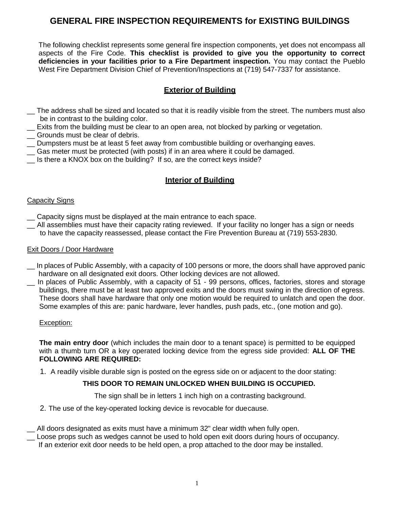# **GENERAL FIRE INSPECTION REQUIREMENTS for EXISTING BUILDINGS**

The following checklist represents some general fire inspection components, yet does not encompass all aspects of the Fire Code. **This checklist is provided to give you the opportunity to correct deficiencies in your facilities prior to a Fire Department inspection.** You may contact the Pueblo West Fire Department Division Chief of Prevention/Inspections at (719) 547-7337 for assistance.

## **Exterior of Building**

- The address shall be sized and located so that it is readily visible from the street. The numbers must also be in contrast to the building color.
- \_\_ Exits from the building must be clear to an open area, not blocked by parking or vegetation.
- \_\_ Grounds must be clear of debris.
- \_\_ Dumpsters must be at least 5 feet away from combustible building or overhanging eaves.
- \_\_ Gas meter must be protected (with posts) if in an area where it could be damaged.
- \_\_ Is there a KNOX box on the building? If so, are the correct keys inside?

## **Interior of Building**

#### Capacity Signs

- \_\_ Capacity signs must be displayed at the main entrance to each space.
- \_\_ All assemblies must have their capacity rating reviewed. If your facility no longer has a sign or needs to have the capacity reassessed, please contact the Fire Prevention Bureau at (719) 553-2830.

#### Exit Doors / Door Hardware

- \_\_ In places of Public Assembly, with a capacity of 100 persons or more, the doors shall have approved panic hardware on all designated exit doors. Other locking devices are not allowed.
- \_\_ In places of Public Assembly, with a capacity of 51 99 persons, offices, factories, stores and storage buildings, there must be at least two approved exits and the doors must swing in the direction of egress. These doors shall have hardware that only one motion would be required to unlatch and open the door. Some examples of this are: panic hardware, lever handles, push pads, etc., (one motion and go).

#### Exception:

**The main entry door** (which includes the main door to a tenant space) is permitted to be equipped with a thumb turn OR a key operated locking device from the egress side provided: **ALL OF THE FOLLOWING ARE REQUIRED:**

1. A readily visible durable sign is posted on the egress side on or adjacent to the door stating:

#### **THIS DOOR TO REMAIN UNLOCKED WHEN BUILDING IS OCCUPIED.**

The sign shall be in letters 1 inch high on a contrasting background.

2. The use of the key-operated locking device is revocable for duecause.

\_\_ All doors designated as exits must have a minimum 32" clear width when fully open.

Loose props such as wedges cannot be used to hold open exit doors during hours of occupancy.

If an exterior exit door needs to be held open, a prop attached to the door may be installed.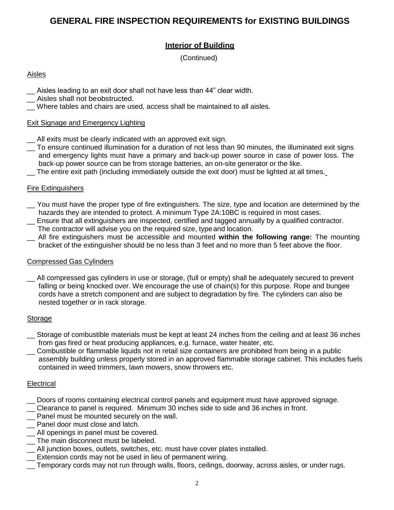# **GENERAL FIRE INSPECTION REQUIREMENTS for EXISTING BUILDINGS**

## **Interior of Building**

(Continued)

### Aisles

- \_\_ Aisles leading to an exit door shall not have less than 44" clear width.
- \_\_ Aisles shall not beobstructed.
- Where tables and chairs are used, access shall be maintained to all aisles.

#### Exit Signage and Emergency Lighting

- \_\_ All exits must be clearly indicated with an approved exit sign.
- $\overline{\phantom{a}}$  To ensure continued illumination for a duration of not less than 90 minutes, the illuminated exit signs and emergency lights must have a primary and back-up power source in case of power loss. The back-up power source can be from storage batteries, an on-site generator or the like.
- \_\_ The entire exit path (including immediately outside the exit door) must be lighted at all times.

#### Fire Extinguishers

- \_\_ You must have the proper type of fire extinguishers. The size, type and location are determined by the hazards they are intended to protect. A minimum Type 2A:10BC is required in most cases. \_\_ Ensure that all extinguishers are inspected, certified and tagged annually by a qualified contractor.
- The contractor will advise you on the required size, typeand location.
- \_\_ All fire extinguishers must be accessible and mounted **within the following range:** The mounting bracket of the extinguisher should be no less than 3 feet and no more than 5 feet above the floor.

#### Compressed Gas Cylinders

\_\_ All compressed gas cylinders in use or storage, (full or empty) shall be adequately secured to prevent falling or being knocked over. We encourage the use of chain(s) for this purpose. Rope and bungee cords have a stretch component and are subject to degradation by fire. The cylinders can also be nested together or in rack storage.

#### Storage

- \_\_ Storage of combustible materials must be kept at least 24 inches from the ceiling and at least 36 inches from gas fired or heat producing appliances, e.g. furnace, water heater, etc.
- Combustible or flammable liquids not in retail size containers are prohibited from being in a public assembly building unless properly stored in an approved flammable storage cabinet. This includes fuels contained in weed trimmers, lawn mowers, snow throwers etc.

#### **Electrical**

- \_\_ Doors of rooms containing electrical control panels and equipment must have approved signage.
- \_\_ Clearance to panel is required. Minimum 30 inches side to side and 36 inches in front.
- \_\_ Panel must be mounted securely on the wall.
- \_\_ Panel door must close and latch.
- \_\_ All openings in panel must be covered.
- \_\_ The main disconnect must be labeled.
- \_\_ All junction boxes, outlets, switches, etc. must have cover plates installed.
- \_\_ Extension cords may not be used in lieu of permanent wiring.
- \_\_ Temporary cords may not run through walls, floors, ceilings, doorway, across aisles, or under rugs.